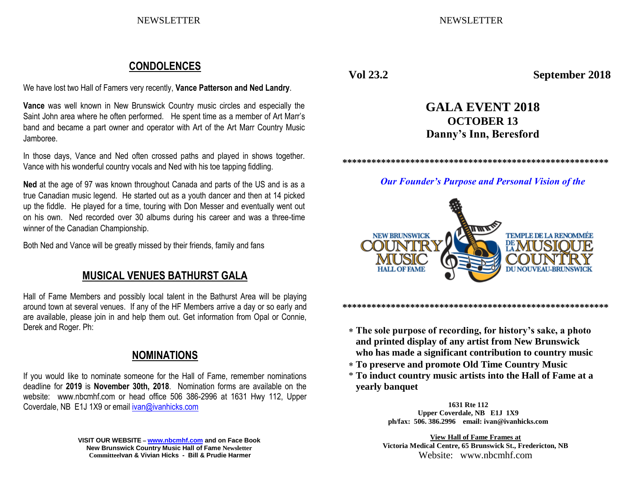NEWSLETTER NEWSLETTER

# **CONDOLENCES**

We have lost two Hall of Famers very recently, **Vance Patterson and Ned Landry**.

**Vance** was well known in New Brunswick Country music circles and especially the Saint John area where he often performed. He spent time as a member of Art Marr's band and became a part owner and operator with Art of the Art Marr Country Music Jamboree.

In those days, Vance and Ned often crossed paths and played in shows together. Vance with his wonderful country vocals and Ned with his toe tapping fiddling.

**Ned** at the age of 97 was known throughout Canada and parts of the US and is as a true Canadian music legend. He started out as a youth dancer and then at 14 picked up the fiddle. He played for a time, touring with Don Messer and eventually went out on his own. Ned recorded over 30 albums during his career and was a three-time winner of the Canadian Championship.

Both Ned and Vance will be greatly missed by their friends, family and fans

# **MUSICAL VENUES BATHURST GALA**

Hall of Fame Members and possibly local talent in the Bathurst Area will be playing around town at several venues. If any of the HF Members arrive a day or so early and are available, please join in and help them out. Get information from Opal or Connie, Derek and Roger. Ph:

# **NOMINATIONS**

If you would like to nominate someone for the Hall of Fame, remember nominations deadline for **2019** is **November 30th, 2018**. Nomination forms are available on the website: www.nbcmhf.com or head office 506 386-2996 at 1631 Hwy 112, Upper Coverdale, NB E1J 1X9 or emai[l ivan@ivanhicks.com](mailto:ivan@ivanhicks.com)

> **VISIT OUR WEBSITE – [www.nbcmhf.com](http://www.nbcmhf.com/) and on Face Book New Brunswick Country Music Hall of Fame Newsletter CommitteeIvan & Vivian Hicks - Bill & Prudie Harmer**

**Vol 23.2 September 2018**

# **GALA EVENT 2018 OCTOBER 13 Danny's Inn, Beresford**

**\*\*\*\*\*\*\*\*\*\*\*\*\*\*\*\*\*\*\*\*\*\*\*\*\*\*\*\*\*\*\*\*\*\*\*\*\*\*\*\*\*\*\*\*\*\*\*\*\*\*\*\*\*\*\*** 

*Our Founder's Purpose and Personal Vision of the*



**\*\*\*\*\*\*\*\*\*\*\*\*\*\*\*\*\*\*\*\*\*\*\*\*\*\*\*\*\*\*\*\*\*\*\*\*\*\*\*\*\*\*\*\*\*\*\*\*\*\*\*\*\*\*\*** 

- **The sole purpose of recording, for history's sake, a photo and printed display of any artist from New Brunswick who has made a significant contribution to country music**
- **To preserve and promote Old Time Country Music**
- \* **To induct country music artists into the Hall of Fame at a yearly banquet**

**1631 Rte 112 Upper Coverdale, NB E1J 1X9 ph/fax: 506. 386.2996 email: ivan@ivanhicks.com**

**View Hall of Fame Frames at Victoria Medical Centre, 65 Brunswick St., Fredericton, NB** Website: www.nbcmhf.com